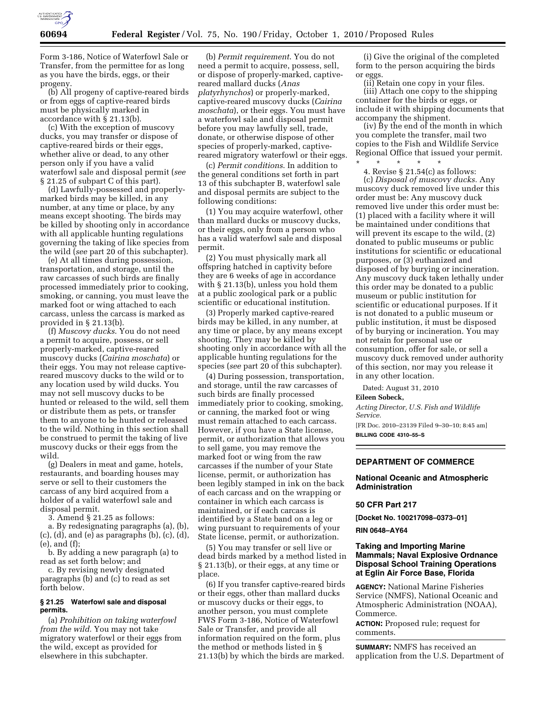

Form 3-186, Notice of Waterfowl Sale or Transfer, from the permittee for as long as you have the birds, eggs, or their progeny.

(b) All progeny of captive-reared birds or from eggs of captive-reared birds must be physically marked in accordance with § 21.13(b).

(c) With the exception of muscovy ducks, you may transfer or dispose of captive-reared birds or their eggs, whether alive or dead, to any other person only if you have a valid waterfowl sale and disposal permit (*see*  § 21.25 of subpart C of this part).

(d) Lawfully-possessed and properlymarked birds may be killed, in any number, at any time or place, by any means except shooting. The birds may be killed by shooting only in accordance with all applicable hunting regulations governing the taking of like species from the wild (*see* part 20 of this subchapter).

(e) At all times during possession, transportation, and storage, until the raw carcasses of such birds are finally processed immediately prior to cooking, smoking, or canning, you must leave the marked foot or wing attached to each carcass, unless the carcass is marked as provided in § 21.13(b).

(f) *Muscovy ducks*. You do not need a permit to acquire, possess, or sell properly-marked, captive-reared muscovy ducks (*Cairina moschata*) or their eggs. You may not release captivereared muscovy ducks to the wild or to any location used by wild ducks. You may not sell muscovy ducks to be hunted or released to the wild, sell them or distribute them as pets, or transfer them to anyone to be hunted or released to the wild. Nothing in this section shall be construed to permit the taking of live muscovy ducks or their eggs from the wild.

(g) Dealers in meat and game, hotels, restaurants, and boarding houses may serve or sell to their customers the carcass of any bird acquired from a holder of a valid waterfowl sale and disposal permit.

3. Amend § 21.25 as follows:

a. By redesignating paragraphs (a), (b), (c), (d), and (e) as paragraphs (b), (c), (d), (e), and (f);

b. By adding a new paragraph (a) to read as set forth below; and

c. By revising newly designated paragraphs (b) and (c) to read as set forth below.

#### **§ 21.25 Waterfowl sale and disposal permits.**

(a) *Prohibition on taking waterfowl from the wild.* You may not take migratory waterfowl or their eggs from the wild, except as provided for elsewhere in this subchapter.

(b) *Permit requirement*. You do not need a permit to acquire, possess, sell, or dispose of properly-marked, captivereared mallard ducks (*Anas platyrhynchos*) or properly-marked, captive-reared muscovy ducks (*Cairina moschata*), or their eggs. You must have a waterfowl sale and disposal permit before you may lawfully sell, trade, donate, or otherwise dispose of other species of properly-marked, captivereared migratory waterfowl or their eggs.

(c) *Permit conditions*. In addition to the general conditions set forth in part 13 of this subchapter B, waterfowl sale and disposal permits are subject to the following conditions:

(1) You may acquire waterfowl, other than mallard ducks or muscovy ducks, or their eggs, only from a person who has a valid waterfowl sale and disposal permit.

(2) You must physically mark all offspring hatched in captivity before they are 6 weeks of age in accordance with § 21.13(b), unless you hold them at a public zoological park or a public scientific or educational institution.

(3) Properly marked captive-reared birds may be killed, in any number, at any time or place, by any means except shooting. They may be killed by shooting only in accordance with all the applicable hunting regulations for the species (*see* part 20 of this subchapter).

(4) During possession, transportation, and storage, until the raw carcasses of such birds are finally processed immediately prior to cooking, smoking, or canning, the marked foot or wing must remain attached to each carcass. However, if you have a State license, permit, or authorization that allows you to sell game, you may remove the marked foot or wing from the raw carcasses if the number of your State license, permit, or authorization has been legibly stamped in ink on the back of each carcass and on the wrapping or container in which each carcass is maintained, or if each carcass is identified by a State band on a leg or wing pursuant to requirements of your State license, permit, or authorization.

(5) You may transfer or sell live or dead birds marked by a method listed in § 21.13(b), or their eggs, at any time or place.

(6) If you transfer captive-reared birds or their eggs, other than mallard ducks or muscovy ducks or their eggs, to another person, you must complete FWS Form 3-186, Notice of Waterfowl Sale or Transfer, and provide all information required on the form, plus the method or methods listed in § 21.13(b) by which the birds are marked.

(i) Give the original of the completed form to the person acquiring the birds or eggs.

(ii) Retain one copy in your files. (iii) Attach one copy to the shipping container for the birds or eggs, or include it with shipping documents that accompany the shipment.

(iv) By the end of the month in which you complete the transfer, mail two copies to the Fish and Wildlife Service Regional Office that issued your permit.

\* \* \* \* \* 4. Revise § 21.54(c) as follows: (c) *Disposal of muscovy ducks.* Any muscovy duck removed live under this order must be: Any muscovy duck removed live under this order must be: (1) placed with a facility where it will be maintained under conditions that will prevent its escape to the wild, (2) donated to public museums or public institutions for scientific or educational purposes, or (3) euthanized and disposed of by burying or incineration. Any muscovy duck taken lethally under this order may be donated to a public museum or public institution for scientific or educational purposes. If it is not donated to a public museum or public institution, it must be disposed of by burying or incineration. You may not retain for personal use or consumption, offer for sale, or sell a muscovy duck removed under authority of this section, nor may you release it in any other location.

Dated: August 31, 2010 **Eileen Sobeck,** 

#### *Acting Director, U.S. Fish and Wildlife Service.*

[FR Doc. 2010–23139 Filed 9–30–10; 8:45 am] **BILLING CODE 4310–55–S** 

# **DEPARTMENT OF COMMERCE**

## **National Oceanic and Atmospheric Administration**

### **50 CFR Part 217**

**[Docket No. 100217098–0373–01]** 

### **RIN 0648–AY64**

## **Taking and Importing Marine Mammals; Naval Explosive Ordnance Disposal School Training Operations at Eglin Air Force Base, Florida**

**AGENCY:** National Marine Fisheries Service (NMFS), National Oceanic and Atmospheric Administration (NOAA), Commerce.

**ACTION:** Proposed rule; request for comments.

**SUMMARY:** NMFS has received an application from the U.S. Department of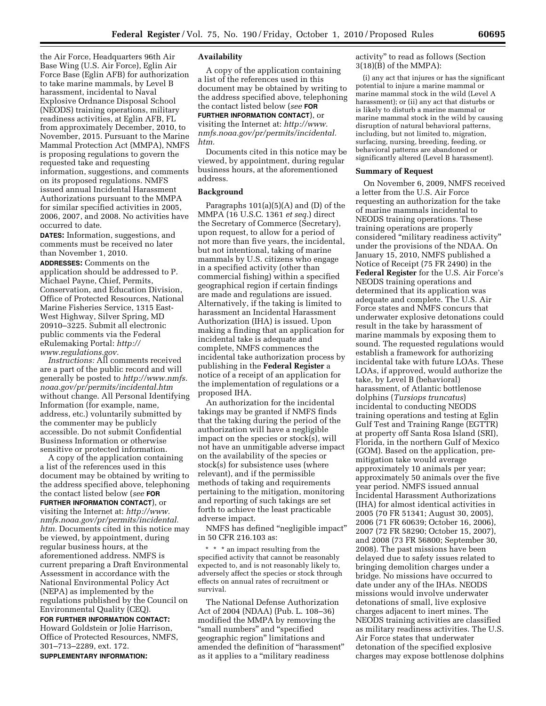the Air Force, Headquarters 96th Air Base Wing (U.S. Air Force), Eglin Air Force Base (Eglin AFB) for authorization to take marine mammals, by Level B harassment, incidental to Naval Explosive Ordnance Disposal School (NEODS) training operations, military readiness activities, at Eglin AFB, FL from approximately December, 2010, to November, 2015. Pursuant to the Marine Mammal Protection Act (MMPA), NMFS is proposing regulations to govern the requested take and requesting information, suggestions, and comments on its proposed regulations. NMFS issued annual Incidental Harassment Authorizations pursuant to the MMPA for similar specified activities in 2005, 2006, 2007, and 2008. No activities have occurred to date.

**DATES:** Information, suggestions, and comments must be received no later than November 1, 2010.

**ADDRESSES:** Comments on the application should be addressed to P. Michael Payne, Chief, Permits, Conservation, and Education Division, Office of Protected Resources, National Marine Fisheries Service, 1315 East-West Highway, Silver Spring, MD 20910–3225. Submit all electronic public comments via the Federal eRulemaking Portal: *[http://](http://www.regulations.gov) [www.regulations.gov.](http://www.regulations.gov)* 

*Instructions:* All comments received are a part of the public record and will generally be posted to *[http://www.nmfs.](http://www.nmfs.noaa.gov/pr/permits/incidental.htm) [noaa.gov/pr/permits/incidental.htm](http://www.nmfs.noaa.gov/pr/permits/incidental.htm)*  without change. All Personal Identifying Information (for example, name, address, etc.) voluntarily submitted by the commenter may be publicly accessible. Do not submit Confidential Business Information or otherwise sensitive or protected information.

A copy of the application containing a list of the references used in this document may be obtained by writing to the address specified above, telephoning the contact listed below (*see* **FOR FURTHER INFORMATION CONTACT**), or visiting the Internet at: *[http://www.](http://www.nmfs.noaa.gov/pr/permits/incidental.htm) [nmfs.noaa.gov/pr/permits/incidental.](http://www.nmfs.noaa.gov/pr/permits/incidental.htm) [htm.](http://www.nmfs.noaa.gov/pr/permits/incidental.htm)* Documents cited in this notice may

be viewed, by appointment, during regular business hours, at the aforementioned address. NMFS is current preparing a Draft Environmental Assessment in accordance with the National Environmental Policy Act (NEPA) as implemented by the regulations published by the Council on Environmental Quality (CEQ).

**FOR FURTHER INFORMATION CONTACT:**  Howard Goldstein or Jolie Harrison, Office of Protected Resources, NMFS, 301–713–2289, ext. 172.

#### **SUPPLEMENTARY INFORMATION:**

#### **Availability**

A copy of the application containing a list of the references used in this document may be obtained by writing to the address specified above, telephoning the contact listed below (*see* **FOR FURTHER INFORMATION CONTACT**), or visiting the Internet at: *[http://www.](http://www.nmfs.noaa.gov/pr/permits/incidental.htm) [nmfs.noaa.gov/pr/permits/incidental.](http://www.nmfs.noaa.gov/pr/permits/incidental.htm) [htm.](http://www.nmfs.noaa.gov/pr/permits/incidental.htm)* 

Documents cited in this notice may be viewed, by appointment, during regular business hours, at the aforementioned address.

#### **Background**

Paragraphs  $101(a)(5)(A)$  and  $(D)$  of the MMPA (16 U.S.C. 1361 *et seq.*) direct the Secretary of Commerce (Secretary), upon request, to allow for a period of not more than five years, the incidental, but not intentional, taking of marine mammals by U.S. citizens who engage in a specified activity (other than commercial fishing) within a specified geographical region if certain findings are made and regulations are issued. Alternatively, if the taking is limited to harassment an Incidental Harassment Authorization (IHA) is issued. Upon making a finding that an application for incidental take is adequate and complete, NMFS commences the incidental take authorization process by publishing in the **Federal Register** a notice of a receipt of an application for the implementation of regulations or a proposed IHA.

An authorization for the incidental takings may be granted if NMFS finds that the taking during the period of the authorization will have a negligible impact on the species or stock(s), will not have an unmitigable adverse impact on the availability of the species or stock(s) for subsistence uses (where relevant), and if the permissible methods of taking and requirements pertaining to the mitigation, monitoring and reporting of such takings are set forth to achieve the least practicable adverse impact.

NMFS has defined ''negligible impact'' in 50 CFR 216.103 as:

\* \* \* an impact resulting from the specified activity that cannot be reasonably expected to, and is not reasonably likely to, adversely affect the species or stock through effects on annual rates of recruitment or survival.

The National Defense Authorization Act of 2004 (NDAA) (Pub. L. 108–36) modified the MMPA by removing the "small numbers" and "specified geographic region'' limitations and amended the definition of ''harassment'' as it applies to a ''military readiness

activity'' to read as follows (Section 3(18)(B) of the MMPA):

(i) any act that injures or has the significant potential to injure a marine mammal or marine mammal stock in the wild (Level A harassment); or (ii) any act that disturbs or is likely to disturb a marine mammal or marine mammal stock in the wild by causing disruption of natural behavioral patterns, including, but not limited to, migration, surfacing, nursing, breeding, feeding, or behavioral patterns are abandoned or significantly altered (Level B harassment).

#### **Summary of Request**

On November 6, 2009, NMFS received a letter from the U.S. Air Force requesting an authorization for the take of marine mammals incidental to NEODS training operations. These training operations are properly considered ''military readiness activity'' under the provisions of the NDAA. On January 15, 2010, NMFS published a Notice of Receipt (75 FR 2490) in the **Federal Register** for the U.S. Air Force's NEODS training operations and determined that its application was adequate and complete. The U.S. Air Force states and NMFS concurs that underwater explosive detonations could result in the take by harassment of marine mammals by exposing them to sound. The requested regulations would establish a framework for authorizing incidental take with future LOAs. These LOAs, if approved, would authorize the take, by Level B (behavioral) harassment, of Atlantic bottlenose dolphins (*Tursiops truncatus*) incidental to conducting NEODS training operations and testing at Eglin Gulf Test and Training Range (EGTTR) at property off Santa Rosa Island (SRI), Florida, in the northern Gulf of Mexico (GOM). Based on the application, premitigation take would average approximately 10 animals per year; approximately 50 animals over the five year period. NMFS issued annual Incidental Harassment Authorizations (IHA) for almost identical activities in 2005 (70 FR 51341; August 30, 2005), 2006 (71 FR 60639; October 16, 2006), 2007 (72 FR 58290; October 15, 2007), and 2008 (73 FR 56800; September 30, 2008). The past missions have been delayed due to safety issues related to bringing demolition charges under a bridge. No missions have occurred to date under any of the IHAs. NEODS missions would involve underwater detonations of small, live explosive charges adjacent to inert mines. The NEODS training activities are classified as military readiness activities. The U.S. Air Force states that underwater detonation of the specified explosive charges may expose bottlenose dolphins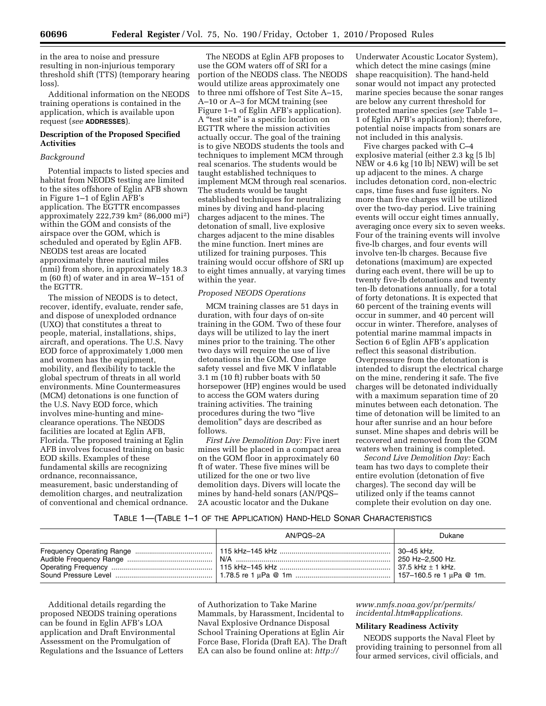in the area to noise and pressure resulting in non-injurious temporary threshold shift (TTS) (temporary hearing loss).

Additional information on the NEODS training operations is contained in the application, which is available upon request (*see* **ADDRESSES**).

## **Description of the Proposed Specified Activities**

## *Background*

Potential impacts to listed species and habitat from NEODS testing are limited to the sites offshore of Eglin AFB shown in Figure 1–1 of Eglin AFB's application. The EGTTR encompasses approximately 222,739 km2 (86,000 mi2) within the GOM and consists of the airspace over the GOM, which is scheduled and operated by Eglin AFB. NEODS test areas are located approximately three nautical miles (nmi) from shore, in approximately 18.3 m (60 ft) of water and in area W–151 of the EGTTR.

The mission of NEODS is to detect, recover, identify, evaluate, render safe, and dispose of unexploded ordnance (UXO) that constitutes a threat to people, material, installations, ships, aircraft, and operations. The U.S. Navy EOD force of approximately 1,000 men and women has the equipment, mobility, and flexibility to tackle the global spectrum of threats in all world environments. Mine Countermeasures (MCM) detonations is one function of the U.S. Navy EOD force, which involves mine-hunting and mineclearance operations. The NEODS facilities are located at Eglin AFB, Florida. The proposed training at Eglin AFB involves focused training on basic EOD skills. Examples of these fundamental skills are recognizing ordnance, reconnaissance, measurement, basic understanding of demolition charges, and neutralization of conventional and chemical ordnance.

The NEODS at Eglin AFB proposes to use the GOM waters off of SRI for a portion of the NEODS class. The NEODS would utilize areas approximately one to three nmi offshore of Test Site A–15, A–10 or A–3 for MCM training (see Figure 1–1 of Eglin AFB's application). A ''test site'' is a specific location on EGTTR where the mission activities actually occur. The goal of the training is to give NEODS students the tools and techniques to implement MCM through real scenarios. The students would be taught established techniques to implement MCM through real scenarios. The students would be taught established techniques for neutralizing mines by diving and hand-placing charges adjacent to the mines. The detonation of small, live explosive charges adjacent to the mine disables the mine function. Inert mines are utilized for training purposes. This training would occur offshore of SRI up to eight times annually, at varying times within the year.

### *Proposed NEODS Operations*

MCM training classes are 51 days in duration, with four days of on-site training in the GOM. Two of these four days will be utilized to lay the inert mines prior to the training. The other two days will require the use of live detonations in the GOM. One large safety vessel and five MK V inflatable 3.1 m (10 ft) rubber boats with 50 horsepower (HP) engines would be used to access the GOM waters during training activities. The training procedures during the two ''live demolition'' days are described as follows.

*First Live Demolition Day:* Five inert mines will be placed in a compact area on the GOM floor in approximately 60 ft of water. These five mines will be utilized for the one or two live demolition days. Divers will locate the mines by hand-held sonars (AN/PQS– 2A acoustic locator and the Dukane

Underwater Acoustic Locator System), which detect the mine casings (mine shape reacquisition). The hand-held sonar would not impact any protected marine species because the sonar ranges are below any current threshold for protected marine species (*see* Table 1– 1 of Eglin AFB's application); therefore, potential noise impacts from sonars are not included in this analysis.

Five charges packed with C–4 explosive material (either 2.3 kg [5 lb] NEW or 4.6 kg [10 lb] NEW) will be set up adjacent to the mines. A charge includes detonation cord, non-electric caps, time fuses and fuse igniters. No more than five charges will be utilized over the two-day period. Live training events will occur eight times annually, averaging once every six to seven weeks. Four of the training events will involve five-lb charges, and four events will involve ten-lb charges. Because five detonations (maximum) are expected during each event, there will be up to twenty five-lb detonations and twenty ten-lb detonations annually, for a total of forty detonations. It is expected that 60 percent of the training events will occur in summer, and 40 percent will occur in winter. Therefore, analyses of potential marine mammal impacts in Section 6 of Eglin AFB's application reflect this seasonal distribution. Overpressure from the detonation is intended to disrupt the electrical charge on the mine, rendering it safe. The five charges will be detonated individually with a maximum separation time of 20 minutes between each detonation. The time of detonation will be limited to an hour after sunrise and an hour before sunset. Mine shapes and debris will be recovered and removed from the GOM waters when training is completed.

*Second Live Demolition Day:* Each team has two days to complete their entire evolution (detonation of five charges). The second day will be utilized only if the teams cannot complete their evolution on day one.

### TABLE 1—(TABLE 1–1 OF THE APPLICATION) HAND-HELD SONAR CHARACTERISTICS

| AN/PQS-2A | Dukane           |
|-----------|------------------|
|           | 250 Hz-2.500 Hz. |

Additional details regarding the proposed NEODS training operations can be found in Eglin AFB's LOA application and Draft Environmental Assessment on the Promulgation of Regulations and the Issuance of Letters of Authorization to Take Marine Mammals, by Harassment, Incidental to Naval Explosive Ordnance Disposal School Training Operations at Eglin Air Force Base, Florida (Draft EA). The Draft EA can also be found online at: *[http://](http://www.nmfs.noaa.gov/pr/permits/incidental.htm#applications)* 

*[www.nmfs.noaa.gov/pr/permits/](http://www.nmfs.noaa.gov/pr/permits/incidental.htm#applications) [incidental.htm#applications.](http://www.nmfs.noaa.gov/pr/permits/incidental.htm#applications)* 

## **Military Readiness Activity**

NEODS supports the Naval Fleet by providing training to personnel from all four armed services, civil officials, and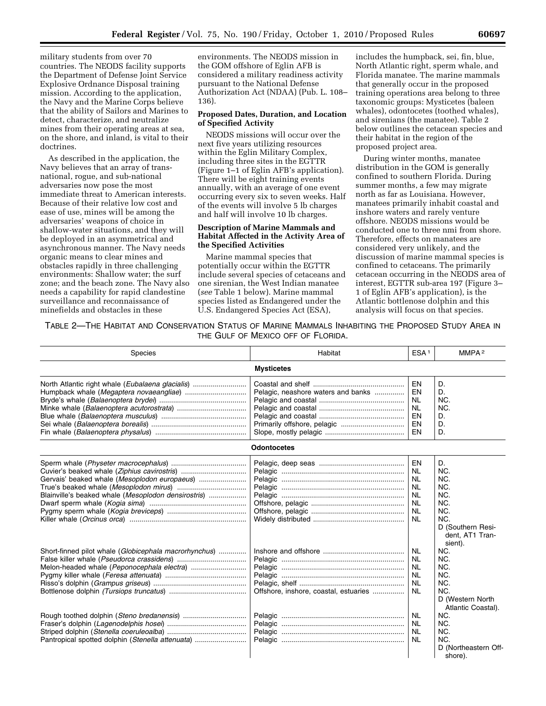military students from over 70 countries. The NEODS facility supports the Department of Defense Joint Service Explosive Ordnance Disposal training mission. According to the application, the Navy and the Marine Corps believe that the ability of Sailors and Marines to detect, characterize, and neutralize mines from their operating areas at sea, on the shore, and inland, is vital to their doctrines.

As described in the application, the Navy believes that an array of transnational, rogue, and sub-national adversaries now pose the most immediate threat to American interests. Because of their relative low cost and ease of use, mines will be among the adversaries' weapons of choice in shallow-water situations, and they will be deployed in an asymmetrical and asynchronous manner. The Navy needs organic means to clear mines and obstacles rapidly in three challenging environments: Shallow water; the surf zone; and the beach zone. The Navy also needs a capability for rapid clandestine surveillance and reconnaissance of minefields and obstacles in these

environments. The NEODS mission in the GOM offshore of Eglin AFB is considered a military readiness activity pursuant to the National Defense Authorization Act (NDAA) (Pub. L. 108– 136).

### **Proposed Dates, Duration, and Location of Specified Activity**

NEODS missions will occur over the next five years utilizing resources within the Eglin Military Complex, including three sites in the EGTTR (Figure 1–1 of Eglin AFB's application). There will be eight training events annually, with an average of one event occurring every six to seven weeks. Half of the events will involve 5 lb charges and half will involve 10 lb charges.

## **Description of Marine Mammals and Habitat Affected in the Activity Area of the Specified Activities**

Marine mammal species that potentially occur within the EGTTR include several species of cetaceans and one sirenian, the West Indian manatee (*see* Table 1 below). Marine mammal species listed as Endangered under the U.S. Endangered Species Act (ESA),

includes the humpback, sei, fin, blue, North Atlantic right, sperm whale, and Florida manatee. The marine mammals that generally occur in the proposed training operations area belong to three taxonomic groups: Mysticetes (baleen whales), odontocetes (toothed whales), and sirenians (the manatee). Table 2 below outlines the cetacean species and their habitat in the region of the proposed project area.

During winter months, manatee distribution in the GOM is generally confined to southern Florida. During summer months, a few may migrate north as far as Louisiana. However, manatees primarily inhabit coastal and inshore waters and rarely venture offshore. NEODS missions would be conducted one to three nmi from shore. Therefore, effects on manatees are considered very unlikely, and the discussion of marine mammal species is confined to cetaceans. The primarily cetacean occurring in the NEODS area of interest, EGTTR sub-area 197 (Figure 3– 1 of Eglin AFB's application), is the Atlantic bottlenose dolphin and this analysis will focus on that species.

TABLE 2—THE HABITAT AND CONSERVATION STATUS OF MARINE MAMMALS INHABITING THE PROPOSED STUDY AREA IN THE GULF OF MEXICO OFF OF FLORIDA.

| Species                                                                                     | Habitat                               | ESA <sup>1</sup>                                                                       | MMPA <sup>2</sup>                                                                           |
|---------------------------------------------------------------------------------------------|---------------------------------------|----------------------------------------------------------------------------------------|---------------------------------------------------------------------------------------------|
|                                                                                             | <b>Mysticetes</b>                     |                                                                                        |                                                                                             |
| North Atlantic right whale (Eubalaena glacialis)<br>Humpback whale (Megaptera novaeangliae) | Pelagic, neashore waters and banks    | EN<br>EN<br><b>NL</b><br><b>NL</b><br>EN<br>EN<br>EN                                   | D.<br>D.<br>NC.<br>NC.<br>D.<br>D.<br>D.                                                    |
|                                                                                             | <b>Odontocetes</b>                    |                                                                                        |                                                                                             |
| Blainville's beaked whale (Mesoplodon densirostris)                                         |                                       | EN<br>NL<br><b>NL</b><br><b>NL</b><br><b>NL</b><br><b>NL</b><br><b>NL</b><br><b>NL</b> | D.<br>NC.<br>NC.<br>NC.<br>NC.<br>NC.<br>NC.<br>NC.<br>D (Southern Resi-<br>dent, AT1 Tran- |
| Short-finned pilot whale (Globicephala macrorhynchus)                                       | Offshore, inshore, coastal, estuaries | NL<br>NL<br>NL<br><b>NL</b><br><b>NL</b><br><b>NL</b>                                  | sient).<br>NC.<br>NC.<br>NC.<br>NC.<br>NC.<br>NC.<br>D (Western North<br>Atlantic Coastal). |
| Pantropical spotted dolphin (Stenella attenuata)                                            |                                       | <b>NL</b><br><b>NL</b><br><b>NL</b><br><b>NL</b>                                       | NC.<br>NC.<br>NC.<br>NC.<br>D (Northeastern Off-<br>shore).                                 |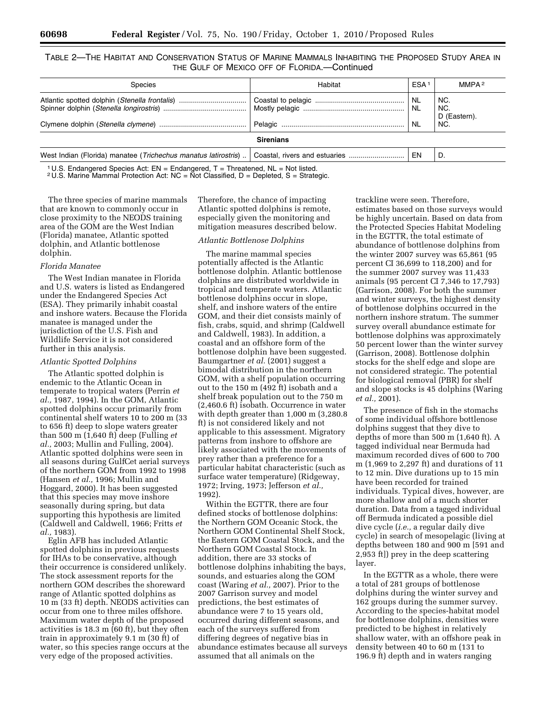TABLE 2—THE HABITAT AND CONSERVATION STATUS OF MARINE MAMMALS INHABITING THE PROPOSED STUDY AREA IN THE GULF OF MEXICO OFF OF FLORIDA.—Continued

| Species                                                        | Habitat          | ESA <sup>1</sup> | MMPA <sup>2</sup>                 |
|----------------------------------------------------------------|------------------|------------------|-----------------------------------|
| Atlantic spotted dolphin (Stenella frontalis)                  |                  |                  | NC.<br>NC.<br>D (Eastern).<br>NC. |
|                                                                | <b>Sirenians</b> |                  |                                   |
| West Indian (Florida) manatee (Trichechus manatus latirostris) |                  | EN               | D.                                |

<sup>1</sup> U.S. Endangered Species Act:  $EN =$  Endangered,  $T =$  Threatened,  $NL =$  Not listed.

<sup>2</sup> U.S. Marine Mammal Protection Act: NC = Not Classified,  $D =$  Depleted, S = Strategic.

The three species of marine mammals that are known to commonly occur in close proximity to the NEODS training area of the GOM are the West Indian (Florida) manatee, Atlantic spotted dolphin, and Atlantic bottlenose dolphin.

#### *Florida Manatee*

The West Indian manatee in Florida and U.S. waters is listed as Endangered under the Endangered Species Act (ESA). They primarily inhabit coastal and inshore waters. Because the Florida manatee is managed under the jurisdiction of the U.S. Fish and Wildlife Service it is not considered further in this analysis.

### *Atlantic Spotted Dolphins*

The Atlantic spotted dolphin is endemic to the Atlantic Ocean in temperate to tropical waters (Perrin *et al.,* 1987, 1994). In the GOM, Atlantic spotted dolphins occur primarily from continental shelf waters 10 to 200 m (33 to 656 ft) deep to slope waters greater than 500 m (1,640 ft) deep (Fulling *et al.,* 2003; Mullin and Fulling, 2004). Atlantic spotted dolphins were seen in all seasons during GulfCet aerial surveys of the northern GOM from 1992 to 1998 (Hansen *et al.,* 1996; Mullin and Hoggard, 2000). It has been suggested that this species may move inshore seasonally during spring, but data supporting this hypothesis are limited (Caldwell and Caldwell, 1966; Fritts *et al.,* 1983).

Eglin AFB has included Atlantic spotted dolphins in previous requests for IHAs to be conservative, although their occurrence is considered unlikely. The stock assessment reports for the northern GOM describes the shoreward range of Atlantic spotted dolphins as 10 m (33 ft) depth. NEODS activities can occur from one to three miles offshore. Maximum water depth of the proposed activities is 18.3 m (60 ft), but they often train in approximately 9.1 m (30 ft) of water, so this species range occurs at the very edge of the proposed activities.

Therefore, the chance of impacting Atlantic spotted dolphins is remote, especially given the monitoring and mitigation measures described below.

## *Atlantic Bottlenose Dolphins*

The marine mammal species potentially affected is the Atlantic bottlenose dolphin. Atlantic bottlenose dolphins are distributed worldwide in tropical and temperate waters. Atlantic bottlenose dolphins occur in slope, shelf, and inshore waters of the entire GOM, and their diet consists mainly of fish, crabs, squid, and shrimp (Caldwell and Caldwell, 1983). In addition, a coastal and an offshore form of the bottlenose dolphin have been suggested. Baumgartner *et al.* (2001) suggest a bimodal distribution in the northern GOM, with a shelf population occurring out to the 150 m (492 ft) isobath and a shelf break population out to the 750 m (2,460.6 ft) isobath. Occurrence in water with depth greater than 1,000 m (3,280.8 ft) is not considered likely and not applicable to this assessment. Migratory patterns from inshore to offshore are likely associated with the movements of prey rather than a preference for a particular habitat characteristic (such as surface water temperature) (Ridgeway, 1972; Irving, 1973; Jefferson *et al.,*  1992).

Within the EGTTR, there are four defined stocks of bottlenose dolphins: the Northern GOM Oceanic Stock, the Northern GOM Continental Shelf Stock, the Eastern GOM Coastal Stock, and the Northern GOM Coastal Stock. In addition, there are 33 stocks of bottlenose dolphins inhabiting the bays, sounds, and estuaries along the GOM coast (Waring *et al.,* 2007). Prior to the 2007 Garrison survey and model predictions, the best estimates of abundance were 7 to 15 years old, occurred during different seasons, and each of the surveys suffered from differing degrees of negative bias in abundance estimates because all surveys assumed that all animals on the

trackline were seen. Therefore, estimates based on those surveys would be highly uncertain. Based on data from the Protected Species Habitat Modeling in the EGTTR, the total estimate of abundance of bottlenose dolphins from the winter 2007 survey was 65,861 (95 percent CI 36,699 to 118,200) and for the summer 2007 survey was 11,433 animals (95 percent CI 7,346 to 17,793) (Garrison, 2008). For both the summer and winter surveys, the highest density of bottlenose dolphins occurred in the northern inshore stratum. The summer survey overall abundance estimate for bottlenose dolphins was approximately 50 percent lower than the winter survey (Garrison, 2008). Bottlenose dolphin stocks for the shelf edge and slope are not considered strategic. The potential for biological removal (PBR) for shelf and slope stocks is 45 dolphins (Waring *et al.,* 2001).

The presence of fish in the stomachs of some individual offshore bottlenose dolphins suggest that they dive to depths of more than 500 m (1,640 ft). A tagged individual near Bermuda had maximum recorded dives of 600 to 700 m (1,969 to 2,297 ft) and durations of 11 to 12 min. Dive durations up to 15 min have been recorded for trained individuals. Typical dives, however, are more shallow and of a much shorter duration. Data from a tagged individual off Bermuda indicated a possible diel dive cycle (*i.e.,* a regular daily dive cycle) in search of mesopelagic (living at depths between 180 and 900 m [591 and 2,953 ft]) prey in the deep scattering layer.

In the EGTTR as a whole, there were a total of 281 groups of bottlenose dolphins during the winter survey and 162 groups during the summer survey. According to the species-habitat model for bottlenose dolphins, densities were predicted to be highest in relatively shallow water, with an offshore peak in density between 40 to 60 m (131 to 196.9 ft) depth and in waters ranging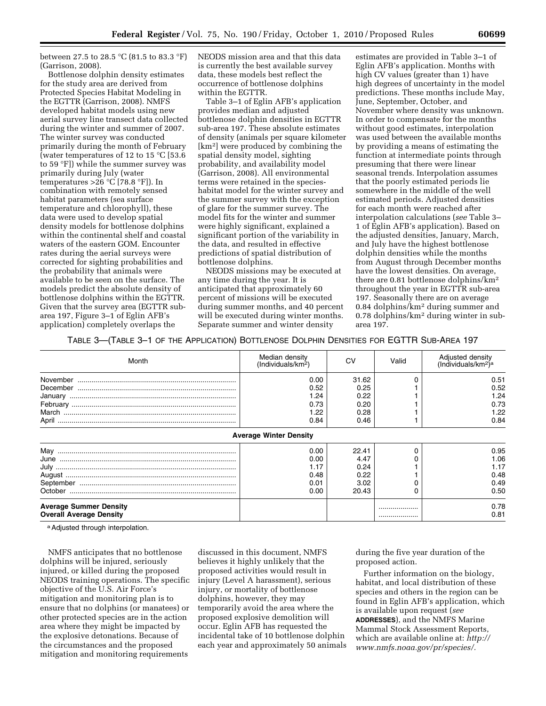between 27.5 to 28.5 °C (81.5 to 83.3 °F) (Garrison, 2008).

Bottlenose dolphin density estimates for the study area are derived from Protected Species Habitat Modeling in the EGTTR (Garrison, 2008). NMFS developed habitat models using new aerial survey line transect data collected during the winter and summer of 2007. The winter survey was conducted primarily during the month of February (water temperatures of 12 to 15 °C [53.6 to 59 °F]) while the summer survey was primarily during July (water temperatures  $>26$  °C [78.8 °F]). In combination with remotely sensed habitat parameters (sea surface temperature and chlorophyll), these data were used to develop spatial density models for bottlenose dolphins within the continental shelf and coastal waters of the eastern GOM. Encounter rates during the aerial surveys were corrected for sighting probabilities and the probability that animals were available to be seen on the surface. The models predict the absolute density of bottlenose dolphins within the EGTTR. Given that the survey area (EGTTR subarea 197, Figure 3–1 of Eglin AFB's application) completely overlaps the

NEODS mission area and that this data is currently the best available survey data, these models best reflect the occurrence of bottlenose dolphins within the EGTTR.

Table 3–1 of Eglin AFB's application provides median and adjusted bottlenose dolphin densities in EGTTR sub-area 197. These absolute estimates of density (animals per square kilometer [km2] were produced by combining the spatial density model, sighting probability, and availability model (Garrison, 2008). All environmental terms were retained in the specieshabitat model for the winter survey and the summer survey with the exception of glare for the summer survey. The model fits for the winter and summer were highly significant, explained a significant portion of the variability in the data, and resulted in effective predictions of spatial distribution of bottlenose dolphins.

NEODS missions may be executed at any time during the year. It is anticipated that approximately 60 percent of missions will be executed during summer months, and 40 percent will be executed during winter months. Separate summer and winter density

estimates are provided in Table 3–1 of Eglin AFB's application. Months with high CV values (greater than 1) have high degrees of uncertainty in the model predictions. These months include May, June, September, October, and November where density was unknown. In order to compensate for the months without good estimates, interpolation was used between the available months by providing a means of estimating the function at intermediate points through presuming that there were linear seasonal trends. Interpolation assumes that the poorly estimated periods lie somewhere in the middle of the well estimated periods. Adjusted densities for each month were reached after interpolation calculations (*see* Table 3– 1 of Eglin AFB's application). Based on the adjusted densities, January, March, and July have the highest bottlenose dolphin densities while the months from August through December months have the lowest densities. On average, there are 0.81 bottlenose dolphins/km2 throughout the year in EGTTR sub-area 197. Seasonally there are on average 0.84 dolphins/km2 during summer and 0.78 dolphins/km2 during winter in subarea 197.

TABLE 3—(TABLE 3–1 OF THE APPLICATION) BOTTLENOSE DOLPHIN DENSITIES FOR EGTTR SUB-AREA 197

| Month                          | Median density<br>(Individuals/km <sup>2</sup> ) | CV    | Valid    | Adjusted density<br>(Individuals/km <sup>2</sup> ) <sup>a</sup> |
|--------------------------------|--------------------------------------------------|-------|----------|-----------------------------------------------------------------|
|                                | 0.00                                             | 31.62 |          | 0.51                                                            |
|                                | 0.52                                             | 0.25  |          | 0.52                                                            |
|                                | 1.24                                             | 0.22  |          | 1.24                                                            |
|                                | 0.73                                             | 0.20  |          | 0.73                                                            |
|                                | 1.22                                             | 0.28  |          | 1.22                                                            |
|                                | 0.84                                             | 0.46  |          | 0.84                                                            |
|                                | <b>Average Winter Density</b>                    |       |          |                                                                 |
|                                | 0.00                                             | 22.41 | $\Omega$ | 0.95                                                            |
|                                | 0.00                                             | 4.47  |          | 1.06                                                            |
|                                | 1.17                                             | 0.24  |          | 1.17                                                            |
|                                | 0.48                                             | 0.22  |          | 0.48                                                            |
|                                | 0.01                                             | 3.02  |          | 0.49                                                            |
|                                | 0.00                                             | 20.43 |          | 0.50                                                            |
| <b>Average Summer Density</b>  |                                                  |       |          | 0.78                                                            |
| <b>Overall Average Density</b> |                                                  |       |          | 0.81                                                            |

a Adjusted through interpolation.

NMFS anticipates that no bottlenose dolphins will be injured, seriously injured, or killed during the proposed NEODS training operations. The specific objective of the U.S. Air Force's mitigation and monitoring plan is to ensure that no dolphins (or manatees) or other protected species are in the action area where they might be impacted by the explosive detonations. Because of the circumstances and the proposed mitigation and monitoring requirements

discussed in this document, NMFS believes it highly unlikely that the proposed activities would result in injury (Level A harassment), serious injury, or mortality of bottlenose dolphins, however, they may temporarily avoid the area where the proposed explosive demolition will occur. Eglin AFB has requested the incidental take of 10 bottlenose dolphin each year and approximately 50 animals during the five year duration of the proposed action.

Further information on the biology, habitat, and local distribution of these species and others in the region can be found in Eglin AFB's application, which is available upon request (*see*  **ADDRESSES**), and the NMFS Marine Mammal Stock Assessment Reports, which are available online at: *[http://](http://www.nmfs.noaa.gov/pr/species/)  [www.nmfs.noaa.gov/pr/species/.](http://www.nmfs.noaa.gov/pr/species/)*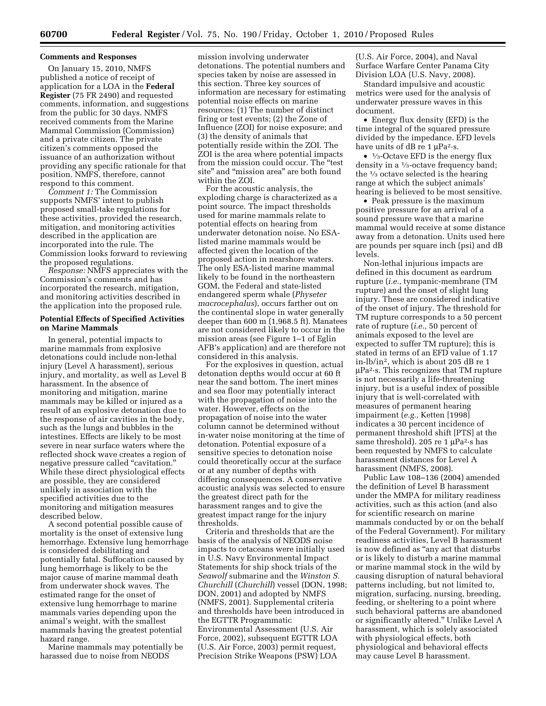#### **Comments and Responses**

On January 15, 2010, NMFS published a notice of receipt of application for a LOA in the **Federal Register** (75 FR 2490) and requested comments, information, and suggestions from the public for 30 days. NMFS received comments from the Marine Mammal Commission (Commission) and a private citizen. The private citizen's comments opposed the issuance of an authorization without providing any specific rationale for that position. NMFS, therefore, cannot respond to this comment.

*Comment 1:* The Commission supports NMFS' intent to publish proposed small-take regulations for these activities, provided the research, mitigation, and monitoring activities described in the application are incorporated into the rule. The Commission looks forward to reviewing the proposed regulations.

*Response:* NMFS appreciates with the Commission's comments and has incorporated the research, mitigation, and monitoring activities described in the application into the proposed rule.

### **Potential Effects of Specified Activities on Marine Mammals**

In general, potential impacts to marine mammals from explosive detonations could include non-lethal injury (Level A harassment), serious injury, and mortality, as well as Level B harassment. In the absence of monitoring and mitigation, marine mammals may be killed or injured as a result of an explosive detonation due to the response of air cavities in the body, such as the lungs and bubbles in the intestines. Effects are likely to be most severe in near surface waters where the reflected shock wave creates a region of negative pressure called "cavitation." While these direct physiological effects are possible, they are considered unlikely in association with the specified activities due to the monitoring and mitigation measures described below.

A second potential possible cause of mortality is the onset of extensive lung hemorrhage. Extensive lung hemorrhage is considered debilitating and potentially fatal. Suffocation caused by lung hemorrhage is likely to be the major cause of marine mammal death from underwater shock waves. The estimated range for the onset of extensive lung hemorrhage to marine mammals varies depending upon the animal's weight, with the smallest mammals having the greatest potential hazard range.

Marine mammals may potentially be harassed due to noise from NEODS

mission involving underwater detonations. The potential numbers and species taken by noise are assessed in this section. Three key sources of information are necessary for estimating potential noise effects on marine resources: (1) The number of distinct firing or test events; (2) the Zone of Influence (ZOI) for noise exposure; and (3) the density of animals that potentially reside within the ZOI. The ZOI is the area where potential impacts from the mission could occur. The ''test site'' and ''mission area'' are both found within the ZOI.

For the acoustic analysis, the exploding charge is characterized as a point source. The impact thresholds used for marine mammals relate to potential effects on hearing from underwater detonation noise. No ESAlisted marine mammals would be affected given the location of the proposed action in nearshore waters. The only ESA-listed marine mammal likely to be found in the northeastern GOM, the Federal and state-listed endangered sperm whale (*Physeter macrocephalus*), occurs farther out on the continental slope in water generally deeper than 600 m (1,968.5 ft). Manatees are not considered likely to occur in the mission areas (see Figure 1–1 of Eglin AFB's application) and are therefore not considered in this analysis.

For the explosives in question, actual detonation depths would occur at 60 ft near the sand bottom. The inert mines and sea floor may potentially interact with the propagation of noise into the water. However, effects on the propagation of noise into the water column cannot be determined without in-water noise monitoring at the time of detonation. Potential exposure of a sensitive species to detonation noise could theoretically occur at the surface or at any number of depths with differing consequences. A conservative acoustic analysis was selected to ensure the greatest direct path for the harassment ranges and to give the greatest impact range for the injury thresholds.

Criteria and thresholds that are the basis of the analysis of NEODS noise impacts to cetaceans were initially used in U.S. Navy Environmental Impact Statements for ship shock trials of the *Seawolf* submarine and the *Winston S. Churchill* (*Churchill*) vessel (DON, 1998; DON, 2001) and adopted by NMFS (NMFS, 2001). Supplemental criteria and thresholds have been introduced in the EGTTR Programmatic Environmental Assessment (U.S. Air Force, 2002), subsequent EGTTR LOA (U.S. Air Force, 2003) permit request, Precision Strike Weapons (PSW) LOA

(U.S. Air Force, 2004), and Naval Surface Warfare Center Panama City Division LOA (U.S. Navy, 2008).

Standard impulsive and acoustic metrics were used for the analysis of underwater pressure waves in this document.

• Energy flux density (EFD) is the time integral of the squared pressure divided by the impedance. EFD levels have units of dB re  $1 \mu Pa^2 \cdot s$ .

 $\bullet$  <sup>1</sup>/<sub>3</sub>-Octave EFD is the energy flux density in a 1⁄3-octave frequency band; the 1⁄3 octave selected is the hearing range at which the subject animals' hearing is believed to be most sensitive.

• Peak pressure is the maximum positive pressure for an arrival of a sound pressure wave that a marine mammal would receive at some distance away from a detonation. Units used here are pounds per square inch (psi) and dB levels.

Non-lethal injurious impacts are defined in this document as eardrum rupture (*i.e.,* tympanic-membrane (TM rupture) and the onset of slight lung injury. These are considered indicative of the onset of injury. The threshold for TM rupture corresponds to a 50 percent rate of rupture (*i.e.,* 50 percent of animals exposed to the level are expected to suffer TM rupture); this is stated in terms of an EFD value of 1.17 in-lb/in2, which is about 205 dB re 1 μPa2·s. This recognizes that TM rupture is not necessarily a life-threatening injury, but is a useful index of possible injury that is well-correlated with measures of permanent hearing impairment (*e.g.,* Ketten [1998] indicates a 30 percent incidence of permanent threshold shift [PTS] at the same threshold). 205 re 1 μPa2·s has been requested by NMFS to calculate harassment distances for Level A harassment (NMFS, 2008).

Public Law 108–136 (2004) amended the definition of Level B harassment under the MMPA for military readiness activities, such as this action (and also for scientific research on marine mammals conducted by or on the behalf of the Federal Government). For military readiness activities, Level B harassment is now defined as "any act that disturbs or is likely to disturb a marine mammal or marine mammal stock in the wild by causing disruption of natural behavioral patterns including, but not limited to, migration, surfacing, nursing, breeding, feeding, or sheltering to a point where such behavioral patterns are abandoned or significantly altered.'' Unlike Level A harassment, which is solely associated with physiological effects, both physiological and behavioral effects may cause Level B harassment.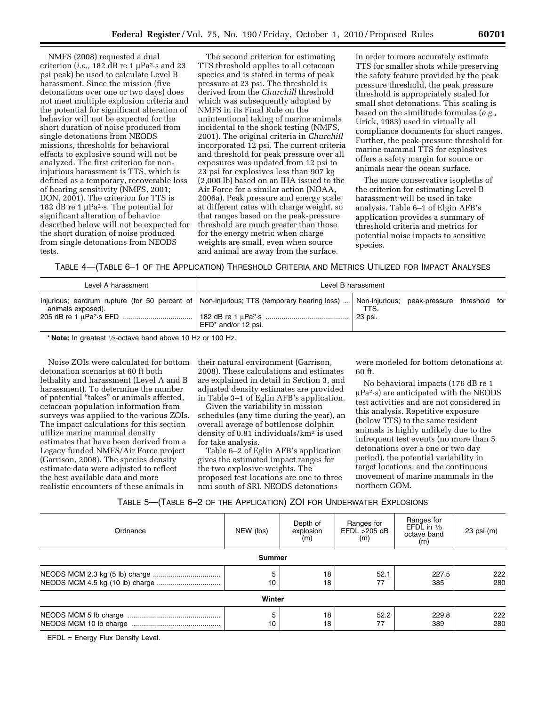NMFS (2008) requested a dual criterion (*i.e.,* 182 dB re 1 μPa2·s and 23 psi peak) be used to calculate Level B harassment. Since the mission (five detonations over one or two days) does not meet multiple explosion criteria and the potential for significant alteration of behavior will not be expected for the short duration of noise produced from single detonations from NEODS missions, thresholds for behavioral effects to explosive sound will not be analyzed. The first criterion for noninjurious harassment is TTS, which is defined as a temporary, recoverable loss of hearing sensitivity (NMFS, 2001; DON, 2001). The criterion for TTS is 182 dB re 1  $\mu$ Pa<sup>2</sup>·s. The potential for significant alteration of behavior described below will not be expected for the short duration of noise produced from single detonations from NEODS tests.

The second criterion for estimating TTS threshold applies to all cetacean species and is stated in terms of peak pressure at 23 psi. The threshold is derived from the *Churchill* threshold which was subsequently adopted by NMFS in its Final Rule on the unintentional taking of marine animals incidental to the shock testing (NMFS, 2001). The original criteria in *Churchill*  incorporated 12 psi. The current criteria and threshold for peak pressure over all exposures was updated from 12 psi to 23 psi for explosives less than 907 kg (2,000 lb) based on an IHA issued to the Air Force for a similar action (NOAA, 2006a). Peak pressure and energy scale at different rates with charge weight, so that ranges based on the peak-pressure threshold are much greater than those for the energy metric when charge weights are small, even when source and animal are away from the surface.

In order to more accurately estimate TTS for smaller shots while preserving the safety feature provided by the peak pressure threshold, the peak pressure threshold is appropriately scaled for small shot detonations. This scaling is based on the similitude formulas (*e.g.,*  Urick, 1983) used in virtually all compliance documents for short ranges. Further, the peak-pressure threshold for marine mammal TTS for explosives offers a safety margin for source or animals near the ocean surface.

The more conservative isopleths of the criterion for estimating Level B harassment will be used in take analysis. Table 6–1 of Elgin AFB's application provides a summary of threshold criteria and metrics for potential noise impacts to sensitive species.

TABLE 4—(TABLE 6–1 OF THE APPLICATION) THRESHOLD CRITERIA AND METRICS UTILIZED FOR IMPACT ANALYSES

| Level A harassment                                                                                                   |                        | Level B harassment |                                            |  |
|----------------------------------------------------------------------------------------------------------------------|------------------------|--------------------|--------------------------------------------|--|
| $\ln$ lnjurious; eardrum rupture (for 50 percent of Non-injurious; TTS (temporary hearing loss)<br>animals exposed). | $EFD^*$ and/or 12 psi. | TTS.<br>23 psi.    | Non-injurious; peak-pressure threshold for |  |

\* **Note:** In greatest 1⁄3-octave band above 10 Hz or 100 Hz.

Noise ZOIs were calculated for bottom detonation scenarios at 60 ft both lethality and harassment (Level A and B harassment). To determine the number of potential ''takes'' or animals affected, cetacean population information from surveys was applied to the various ZOIs. The impact calculations for this section utilize marine mammal density estimates that have been derived from a Legacy funded NMFS/Air Force project (Garrison, 2008). The species density estimate data were adjusted to reflect the best available data and more realistic encounters of these animals in

their natural environment (Garrison, 2008). These calculations and estimates are explained in detail in Section 3, and adjusted density estimates are provided in Table 3–1 of Eglin AFB's application.

Given the variability in mission schedules (any time during the year), an overall average of bottlenose dolphin density of 0.81 individuals/km2 is used for take analysis.

Table 6–2 of Eglin AFB's application gives the estimated impact ranges for the two explosive weights. The proposed test locations are one to three nmi south of SRI. NEODS detonations

were modeled for bottom detonations at 60 ft.

No behavioral impacts (176 dB re 1 μPa2·s) are anticipated with the NEODS test activities and are not considered in this analysis. Repetitive exposure (below TTS) to the same resident animals is highly unlikely due to the infrequent test events (no more than 5 detonations over a one or two day period), the potential variability in target locations, and the continuous movement of marine mammals in the northern GOM.

| Table 5—(Table 6—2 of the Application) ZOI for Underwater Explosions |  |
|----------------------------------------------------------------------|--|
|----------------------------------------------------------------------|--|

| Ordnance | NEW (lbs)     | Depth of<br>explosion<br>(m) | Ranges for<br>EFDL >205 dB<br>(m) | Ranges for<br>EFDL in $\frac{1}{3}$<br>octave band<br>(m) | 23 psi (m) |
|----------|---------------|------------------------------|-----------------------------------|-----------------------------------------------------------|------------|
|          | <b>Summer</b> |                              |                                   |                                                           |            |
|          | 5<br>10       | 18<br>18                     | 52.1<br>77                        | 227.5<br>385                                              | 222<br>280 |
|          | Winter        |                              |                                   |                                                           |            |
|          | 5<br>10       | 18<br>18                     | 52.2<br>77                        | 229.8<br>389                                              | 222<br>280 |

EFDL = Energy Flux Density Level.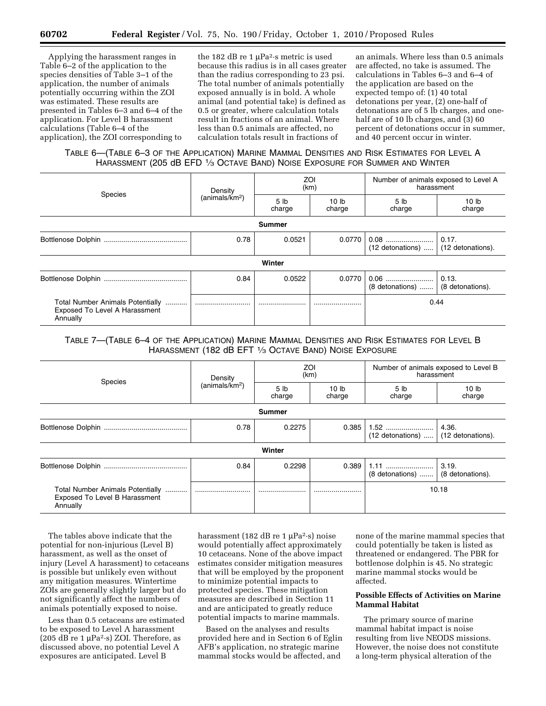Applying the harassment ranges in Table 6–2 of the application to the species densities of Table 3–1 of the application, the number of animals potentially occurring within the ZOI was estimated. These results are presented in Tables 6–3 and 6–4 of the application. For Level B harassment calculations (Table 6–4 of the application), the ZOI corresponding to

the 182 dB re 1  $\mu$ Pa<sup>2</sup>·s metric is used because this radius is in all cases greater than the radius corresponding to 23 psi. The total number of animals potentially exposed annually is in bold. A whole animal (and potential take) is defined as 0.5 or greater, where calculation totals result in fractions of an animal. Where less than 0.5 animals are affected, no calculation totals result in fractions of

an animals. Where less than 0.5 animals are affected, no take is assumed. The calculations in Tables 6–3 and 6–4 of the application are based on the expected tempo of: (1) 40 total detonations per year, (2) one-half of detonations are of 5 lb charges, and onehalf are of 10 lb charges, and (3) 60 percent of detonations occur in summer, and 40 percent occur in winter.

# TABLE 6—(TABLE 6–3 OF THE APPLICATION) MARINE MAMMAL DENSITIES AND RISK ESTIMATES FOR LEVEL A HARASSMENT (205 dB EFD 1⁄3 OCTAVE BAND) NOISE EXPOSURE FOR SUMMER AND WINTER

| Species                                                                       | Density                    | ZOI<br>(km)               |                            | Number of animals exposed to Level A<br>harassment |                            |
|-------------------------------------------------------------------------------|----------------------------|---------------------------|----------------------------|----------------------------------------------------|----------------------------|
|                                                                               | (animals/km <sup>2</sup> ) | 5 <sub>lb</sub><br>charge | 10 <sub>lb</sub><br>charge | 5 lb<br>charge                                     | 10 <sub>lb</sub><br>charge |
|                                                                               |                            | Summer                    |                            |                                                    |                            |
|                                                                               | 0.78                       | 0.0521                    | 0.0770                     | 0.08<br>$(12$ detonations)                         | 0.17.<br>(12 detonations). |
|                                                                               |                            | Winter                    |                            |                                                    |                            |
|                                                                               | 0.84                       | 0.0522                    | 0.0770                     | $(8$ detonations) $(8$ detonations).               |                            |
| Total Number Animals Potentially<br>Exposed To Level A Harassment<br>Annually |                            |                           |                            | 0.44                                               |                            |

## TABLE 7—(TABLE 6–4 OF THE APPLICATION) MARINE MAMMAL DENSITIES AND RISK ESTIMATES FOR LEVEL B HARASSMENT (182 dB EFT 1/3 OCTAVE BAND) NOISE EXPOSURE

| Species                                                                       | Density<br>(animals/km <sup>2</sup> ) | ZOI<br>(km)               |                            | Number of animals exposed to Level B<br>harassment |                            |
|-------------------------------------------------------------------------------|---------------------------------------|---------------------------|----------------------------|----------------------------------------------------|----------------------------|
|                                                                               |                                       | 5 <sub>lb</sub><br>charge | 10 <sub>lb</sub><br>charge | 5 <sub>lb</sub><br>charge                          | 10 <sub>lb</sub><br>charge |
|                                                                               |                                       | <b>Summer</b>             |                            |                                                    |                            |
|                                                                               | 0.78                                  | 0.2275                    | 0.385                      | 1.52<br>(12 detonations)                           | 4.36.<br>(12 detonations). |
|                                                                               |                                       | Winter                    |                            |                                                    |                            |
|                                                                               | 0.84                                  | 0.2298                    | 0.389                      | 1.11<br>(8 detonations)                            | 3.19.<br>(8 detonations).  |
| Total Number Animals Potentially<br>Exposed To Level B Harassment<br>Annually |                                       |                           |                            |                                                    | 10.18                      |

The tables above indicate that the potential for non-injurious (Level B) harassment, as well as the onset of injury (Level A harassment) to cetaceans is possible but unlikely even without any mitigation measures. Wintertime ZOIs are generally slightly larger but do not significantly affect the numbers of animals potentially exposed to noise.

Less than 0.5 cetaceans are estimated to be exposed to Level A harassment (205 dB re 1  $\mu$ Pa<sup>2</sup>·s) ZOI. Therefore, as discussed above, no potential Level A exposures are anticipated. Level B

harassment (182 dB re 1 μPa2·s) noise would potentially affect approximately 10 cetaceans. None of the above impact estimates consider mitigation measures that will be employed by the proponent to minimize potential impacts to protected species. These mitigation measures are described in Section 11 and are anticipated to greatly reduce potential impacts to marine mammals.

Based on the analyses and results provided here and in Section 6 of Eglin AFB's application, no strategic marine mammal stocks would be affected, and

none of the marine mammal species that could potentially be taken is listed as threatened or endangered. The PBR for bottlenose dolphin is 45. No strategic marine mammal stocks would be affected.

## **Possible Effects of Activities on Marine Mammal Habitat**

The primary source of marine mammal habitat impact is noise resulting from live NEODS missions. However, the noise does not constitute a long-term physical alteration of the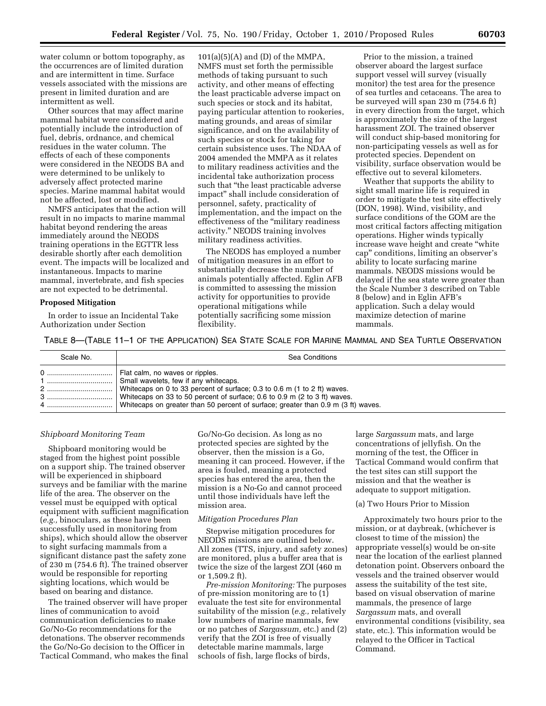water column or bottom topography, as the occurrences are of limited duration and are intermittent in time. Surface vessels associated with the missions are present in limited duration and are intermittent as well.

Other sources that may affect marine mammal habitat were considered and potentially include the introduction of fuel, debris, ordnance, and chemical residues in the water column. The effects of each of these components were considered in the NEODS BA and were determined to be unlikely to adversely affect protected marine species. Marine mammal habitat would not be affected, lost or modified.

NMFS anticipates that the action will result in no impacts to marine mammal habitat beyond rendering the areas immediately around the NEODS training operations in the EGTTR less desirable shortly after each demolition event. The impacts will be localized and instantaneous. Impacts to marine mammal, invertebrate, and fish species are not expected to be detrimental.

### **Proposed Mitigation**

In order to issue an Incidental Take Authorization under Section

 $101(a)(5)(A)$  and (D) of the MMPA, NMFS must set forth the permissible methods of taking pursuant to such activity, and other means of effecting the least practicable adverse impact on such species or stock and its habitat, paying particular attention to rookeries, mating grounds, and areas of similar significance, and on the availability of such species or stock for taking for certain subsistence uses. The NDAA of 2004 amended the MMPA as it relates to military readiness activities and the incidental take authorization process such that "the least practicable adverse impact'' shall include consideration of personnel, safety, practicality of implementation, and the impact on the effectiveness of the ''military readiness activity.'' NEODS training involves military readiness activities.

The NEODS has employed a number of mitigation measures in an effort to substantially decrease the number of animals potentially affected. Eglin AFB is committed to assessing the mission activity for opportunities to provide operational mitigations while potentially sacrificing some mission flexibility.

Prior to the mission, a trained observer aboard the largest surface support vessel will survey (visually monitor) the test area for the presence of sea turtles and cetaceans. The area to be surveyed will span 230 m (754.6 ft) in every direction from the target, which is approximately the size of the largest harassment ZOI. The trained observer will conduct ship-based monitoring for non-participating vessels as well as for protected species. Dependent on visibility, surface observation would be effective out to several kilometers.

Weather that supports the ability to sight small marine life is required in order to mitigate the test site effectively (DON, 1998). Wind, visibility, and surface conditions of the GOM are the most critical factors affecting mitigation operations. Higher winds typically increase wave height and create ''white cap'' conditions, limiting an observer's ability to locate surfacing marine mammals. NEODS missions would be delayed if the sea state were greater than the Scale Number 3 described on Table 8 (below) and in Eglin AFB's application. Such a delay would maximize detection of marine mammals.

TABLE 8—(TABLE 11–1 OF THE APPLICATION) SEA STATE SCALE FOR MARINE MAMMAL AND SEA TURTLE OBSERVATION

| Scale No. | Sea Conditions                                                                                                                                                                                                                                                                                                          |
|-----------|-------------------------------------------------------------------------------------------------------------------------------------------------------------------------------------------------------------------------------------------------------------------------------------------------------------------------|
| 4         | Flat calm, no waves or ripples.<br>Small wavelets, few if any whitecaps.<br>Whitecaps on 0 to 33 percent of surface; 0.3 to 0.6 m (1 to 2 ft) waves.<br>White caps on 33 to 50 percent of surface; 0.6 to 0.9 m (2 to 3 ft) waves.<br>Whitecaps on greater than 50 percent of surface; greater than 0.9 m (3 ft) waves. |

### *Shipboard Monitoring Team*

Shipboard monitoring would be staged from the highest point possible on a support ship. The trained observer will be experienced in shipboard surveys and be familiar with the marine life of the area. The observer on the vessel must be equipped with optical equipment with sufficient magnification (*e.g.,* binoculars, as these have been successfully used in monitoring from ships), which should allow the observer to sight surfacing mammals from a significant distance past the safety zone of 230 m (754.6 ft). The trained observer would be responsible for reporting sighting locations, which would be based on bearing and distance.

The trained observer will have proper lines of communication to avoid communication deficiencies to make Go/No-Go recommendations for the detonations. The observer recommends the Go/No-Go decision to the Officer in Tactical Command, who makes the final Go/No-Go decision. As long as no protected species are sighted by the observer, then the mission is a Go, meaning it can proceed. However, if the area is fouled, meaning a protected species has entered the area, then the mission is a No-Go and cannot proceed until those individuals have left the mission area.

### *Mitigation Procedures Plan*

Stepwise mitigation procedures for NEODS missions are outlined below. All zones (TTS, injury, and safety zones) are monitored, plus a buffer area that is twice the size of the largest ZOI (460 m or 1,509.2 ft).

*Pre-mission Monitoring:* The purposes of pre-mission monitoring are to (1) evaluate the test site for environmental suitability of the mission (*e.g.,* relatively low numbers of marine mammals, few or no patches of *Sargassum,* etc.) and (2) verify that the ZOI is free of visually detectable marine mammals, large schools of fish, large flocks of birds,

large *Sargassum* mats, and large concentrations of jellyfish. On the morning of the test, the Officer in Tactical Command would confirm that the test sites can still support the mission and that the weather is adequate to support mitigation.

## (a) Two Hours Prior to Mission

Approximately two hours prior to the mission, or at daybreak, (whichever is closest to time of the mission) the appropriate vessel(s) would be on-site near the location of the earliest planned detonation point. Observers onboard the vessels and the trained observer would assess the suitability of the test site, based on visual observation of marine mammals, the presence of large *Sargassum* mats, and overall environmental conditions (visibility, sea state, etc.). This information would be relayed to the Officer in Tactical Command.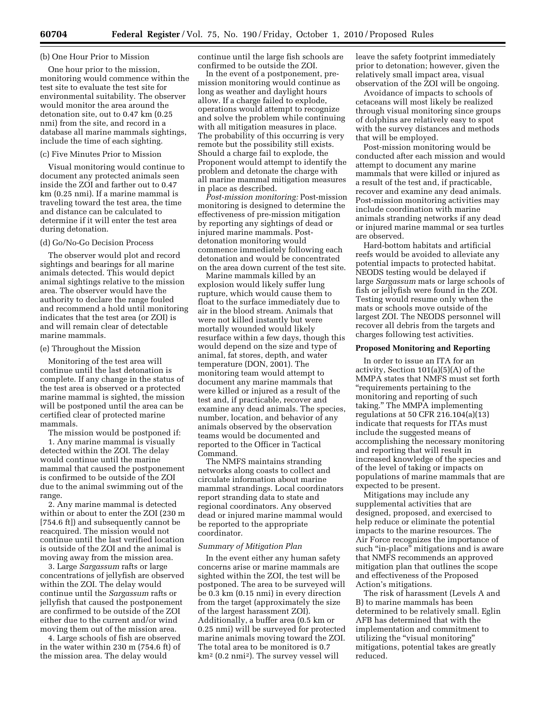### (b) One Hour Prior to Mission

One hour prior to the mission, monitoring would commence within the test site to evaluate the test site for environmental suitability. The observer would monitor the area around the detonation site, out to 0.47 km (0.25 nmi) from the site, and record in a database all marine mammals sightings, include the time of each sighting.

#### (c) Five Minutes Prior to Mission

Visual monitoring would continue to document any protected animals seen inside the ZOI and farther out to 0.47 km (0.25 nmi). If a marine mammal is traveling toward the test area, the time and distance can be calculated to determine if it will enter the test area during detonation.

#### (d) Go/No-Go Decision Process

The observer would plot and record sightings and bearings for all marine animals detected. This would depict animal sightings relative to the mission area. The observer would have the authority to declare the range fouled and recommend a hold until monitoring indicates that the test area (or ZOI) is and will remain clear of detectable marine mammals.

#### (e) Throughout the Mission

Monitoring of the test area will continue until the last detonation is complete. If any change in the status of the test area is observed or a protected marine mammal is sighted, the mission will be postponed until the area can be certified clear of protected marine mammals.

The mission would be postponed if:

1. Any marine mammal is visually detected within the ZOI. The delay would continue until the marine mammal that caused the postponement is confirmed to be outside of the ZOI due to the animal swimming out of the range.

2. Any marine mammal is detected within or about to enter the ZOI (230 m [754.6 ft]) and subsequently cannot be reacquired. The mission would not continue until the last verified location is outside of the ZOI and the animal is moving away from the mission area.

3. Large *Sargassum* rafts or large concentrations of jellyfish are observed within the ZOI. The delay would continue until the *Sargassum* rafts or jellyfish that caused the postponement are confirmed to be outside of the ZOI either due to the current and/or wind moving them out of the mission area.

4. Large schools of fish are observed in the water within 230 m (754.6 ft) of the mission area. The delay would

continue until the large fish schools are confirmed to be outside the ZOI.

In the event of a postponement, premission monitoring would continue as long as weather and daylight hours allow. If a charge failed to explode, operations would attempt to recognize and solve the problem while continuing with all mitigation measures in place. The probability of this occurring is very remote but the possibility still exists. Should a charge fail to explode, the Proponent would attempt to identify the problem and detonate the charge with all marine mammal mitigation measures in place as described.

*Post-mission monitoring:* Post-mission monitoring is designed to determine the effectiveness of pre-mission mitigation by reporting any sightings of dead or injured marine mammals. Postdetonation monitoring would commence immediately following each detonation and would be concentrated on the area down current of the test site.

Marine mammals killed by an explosion would likely suffer lung rupture, which would cause them to float to the surface immediately due to air in the blood stream. Animals that were not killed instantly but were mortally wounded would likely resurface within a few days, though this would depend on the size and type of animal, fat stores, depth, and water temperature (DON, 2001). The monitoring team would attempt to document any marine mammals that were killed or injured as a result of the test and, if practicable, recover and examine any dead animals. The species, number, location, and behavior of any animals observed by the observation teams would be documented and reported to the Officer in Tactical Command.

The NMFS maintains stranding networks along coasts to collect and circulate information about marine mammal strandings. Local coordinators report stranding data to state and regional coordinators. Any observed dead or injured marine mammal would be reported to the appropriate coordinator.

#### *Summary of Mitigation Plan*

In the event either any human safety concerns arise or marine mammals are sighted within the ZOI, the test will be postponed. The area to be surveyed will be 0.3 km (0.15 nmi) in every direction from the target (approximately the size of the largest harassment ZOI). Additionally, a buffer area (0.5 km or 0.25 nmi) will be surveyed for protected marine animals moving toward the ZOI. The total area to be monitored is 0.7 km2 (0.2 nmi2). The survey vessel will

leave the safety footprint immediately prior to detonation; however, given the relatively small impact area, visual observation of the ZOI will be ongoing.

Avoidance of impacts to schools of cetaceans will most likely be realized through visual monitoring since groups of dolphins are relatively easy to spot with the survey distances and methods that will be employed.

Post-mission monitoring would be conducted after each mission and would attempt to document any marine mammals that were killed or injured as a result of the test and, if practicable, recover and examine any dead animals. Post-mission monitoring activities may include coordination with marine animals stranding networks if any dead or injured marine mammal or sea turtles are observed.

Hard-bottom habitats and artificial reefs would be avoided to alleviate any potential impacts to protected habitat. NEODS testing would be delayed if large *Sargassum* mats or large schools of fish or jellyfish were found in the ZOI. Testing would resume only when the mats or schools move outside of the largest ZOI. The NEODS personnel will recover all debris from the targets and charges following test activities.

### **Proposed Monitoring and Reporting**

In order to issue an ITA for an activity, Section 101(a)(5)(A) of the MMPA states that NMFS must set forth ''requirements pertaining to the monitoring and reporting of such taking.'' The MMPA implementing regulations at 50 CFR 216.104(a)(13) indicate that requests for ITAs must include the suggested means of accomplishing the necessary monitoring and reporting that will result in increased knowledge of the species and of the level of taking or impacts on populations of marine mammals that are expected to be present.

Mitigations may include any supplemental activities that are designed, proposed, and exercised to help reduce or eliminate the potential impacts to the marine resources. The Air Force recognizes the importance of such "in-place" mitigations and is aware that NMFS recommends an approved mitigation plan that outlines the scope and effectiveness of the Proposed Action's mitigations.

The risk of harassment (Levels A and B) to marine mammals has been determined to be relatively small. Eglin AFB has determined that with the implementation and commitment to utilizing the "visual monitoring" mitigations, potential takes are greatly reduced.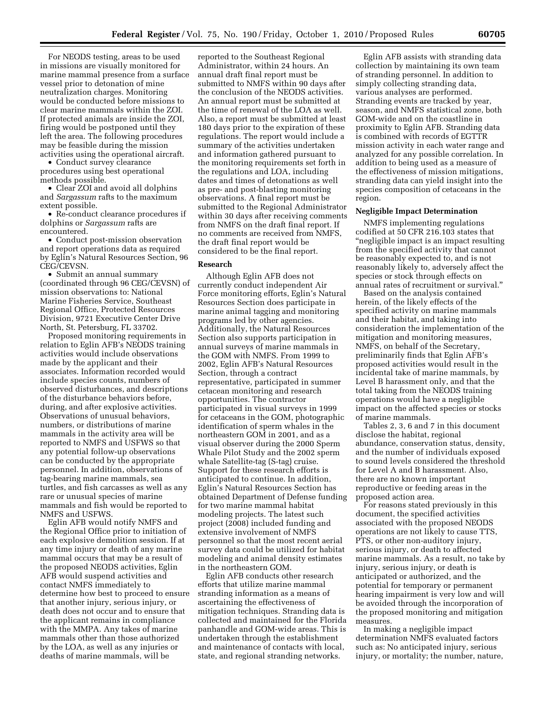For NEODS testing, areas to be used in missions are visually monitored for marine mammal presence from a surface vessel prior to detonation of mine neutralization charges. Monitoring would be conducted before missions to clear marine mammals within the ZOI. If protected animals are inside the ZOI, firing would be postponed until they left the area. The following procedures may be feasible during the mission activities using the operational aircraft.

• Conduct survey clearance procedures using best operational methods possible.

• Clear ZOI and avoid all dolphins and *Sargassum* rafts to the maximum extent possible.

• Re-conduct clearance procedures if dolphins or *Sargassum* rafts are encountered.

• Conduct post-mission observation and report operations data as required by Eglin's Natural Resources Section, 96 CEG/CEVSN.

• Submit an annual summary (coordinated through 96 CEG/CEVSN) of mission observations to: National Marine Fisheries Service, Southeast Regional Office, Protected Resources Division, 9721 Executive Center Drive North, St. Petersburg, FL 33702.

Proposed monitoring requirements in relation to Eglin AFB's NEODS training activities would include observations made by the applicant and their associates. Information recorded would include species counts, numbers of observed disturbances, and descriptions of the disturbance behaviors before, during, and after explosive activities. Observations of unusual behaviors, numbers, or distributions of marine mammals in the activity area will be reported to NMFS and USFWS so that any potential follow-up observations can be conducted by the appropriate personnel. In addition, observations of tag-bearing marine mammals, sea turtles, and fish carcasses as well as any rare or unusual species of marine mammals and fish would be reported to NMFS and USFWS.

Eglin AFB would notify NMFS and the Regional Office prior to initiation of each explosive demolition session. If at any time injury or death of any marine mammal occurs that may be a result of the proposed NEODS activities, Eglin AFB would suspend activities and contact NMFS immediately to determine how best to proceed to ensure that another injury, serious injury, or death does not occur and to ensure that the applicant remains in compliance with the MMPA. Any takes of marine mammals other than those authorized by the LOA, as well as any injuries or deaths of marine mammals, will be

reported to the Southeast Regional Administrator, within 24 hours. An annual draft final report must be submitted to NMFS within 90 days after the conclusion of the NEODS activities. An annual report must be submitted at the time of renewal of the LOA as well. Also, a report must be submitted at least 180 days prior to the expiration of these regulations. The report would include a summary of the activities undertaken and information gathered pursuant to the monitoring requirements set forth in the regulations and LOA, including dates and times of detonations as well as pre- and post-blasting monitoring observations. A final report must be submitted to the Regional Administrator within 30 days after receiving comments from NMFS on the draft final report. If no comments are received from NMFS, the draft final report would be considered to be the final report.

#### **Research**

Although Eglin AFB does not currently conduct independent Air Force monitoring efforts, Eglin's Natural Resources Section does participate in marine animal tagging and monitoring programs led by other agencies. Additionally, the Natural Resources Section also supports participation in annual surveys of marine mammals in the GOM with NMFS. From 1999 to 2002, Eglin AFB's Natural Resources Section, through a contract representative, participated in summer cetacean monitoring and research opportunities. The contractor participated in visual surveys in 1999 for cetaceans in the GOM, photographic identification of sperm whales in the northeastern GOM in 2001, and as a visual observer during the 2000 Sperm Whale Pilot Study and the 2002 sperm whale Satellite-tag (S-tag) cruise. Support for these research efforts is anticipated to continue. In addition, Eglin's Natural Resources Section has obtained Department of Defense funding for two marine mammal habitat modeling projects. The latest such project (2008) included funding and extensive involvement of NMFS personnel so that the most recent aerial survey data could be utilized for habitat modeling and animal density estimates in the northeastern GOM.

Eglin AFB conducts other research efforts that utilize marine mammal stranding information as a means of ascertaining the effectiveness of mitigation techniques. Stranding data is collected and maintained for the Florida panhandle and GOM-wide areas. This is undertaken through the establishment and maintenance of contacts with local, state, and regional stranding networks.

Eglin AFB assists with stranding data collection by maintaining its own team of stranding personnel. In addition to simply collecting stranding data, various analyses are performed. Stranding events are tracked by year, season, and NMFS statistical zone, both GOM-wide and on the coastline in proximity to Eglin AFB. Stranding data is combined with records of EGTTR mission activity in each water range and analyzed for any possible correlation. In addition to being used as a measure of the effectiveness of mission mitigations, stranding data can yield insight into the species composition of cetaceans in the region.

#### **Negligible Impact Determination**

NMFS implementing regulations codified at 50 CFR 216.103 states that ''negligible impact is an impact resulting from the specified activity that cannot be reasonably expected to, and is not reasonably likely to, adversely affect the species or stock through effects on annual rates of recruitment or survival.''

Based on the analysis contained herein, of the likely effects of the specified activity on marine mammals and their habitat, and taking into consideration the implementation of the mitigation and monitoring measures, NMFS, on behalf of the Secretary, preliminarily finds that Eglin AFB's proposed activities would result in the incidental take of marine mammals, by Level B harassment only, and that the total taking from the NEODS training operations would have a negligible impact on the affected species or stocks of marine mammals.

Tables 2, 3, 6 and 7 in this document disclose the habitat, regional abundance, conservation status, density, and the number of individuals exposed to sound levels considered the threshold for Level A and B harassment. Also, there are no known important reproductive or feeding areas in the proposed action area.

For reasons stated previously in this document, the specified activities associated with the proposed NEODS operations are not likely to cause TTS, PTS, or other non-auditory injury, serious injury, or death to affected marine mammals. As a result, no take by injury, serious injury, or death is anticipated or authorized, and the potential for temporary or permanent hearing impairment is very low and will be avoided through the incorporation of the proposed monitoring and mitigation measures.

In making a negligible impact determination NMFS evaluated factors such as: No anticipated injury, serious injury, or mortality; the number, nature,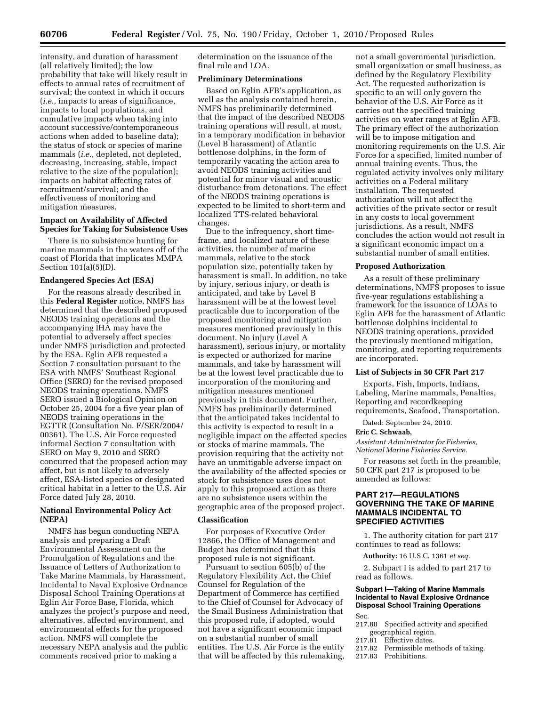intensity, and duration of harassment (all relatively limited); the low probability that take will likely result in effects to annual rates of recruitment of survival; the context in which it occurs (*i.e.,* impacts to areas of significance, impacts to local populations, and cumulative impacts when taking into account successive/contemporaneous actions when added to baseline data); the status of stock or species of marine mammals (*i.e.,* depleted, not depleted, decreasing, increasing, stable, impact relative to the size of the population); impacts on habitat affecting rates of recruitment/survival; and the effectiveness of monitoring and mitigation measures.

## **Impact on Availability of Affected Species for Taking for Subsistence Uses**

There is no subsistence hunting for marine mammals in the waters off of the coast of Florida that implicates MMPA Section 101(a)(5)(D).

#### **Endangered Species Act (ESA)**

For the reasons already described in this **Federal Register** notice, NMFS has determined that the described proposed NEODS training operations and the accompanying IHA may have the potential to adversely affect species under NMFS jurisdiction and protected by the ESA. Eglin AFB requested a Section 7 consultation pursuant to the ESA with NMFS' Southeast Regional Office (SERO) for the revised proposed NEODS training operations. NMFS SERO issued a Biological Opinion on October 25, 2004 for a five year plan of NEODS training operations in the EGTTR (Consultation No. F/SER/2004/ 00361). The U.S. Air Force requested informal Section 7 consultation with SERO on May 9, 2010 and SERO concurred that the proposed action may affect, but is not likely to adversely affect, ESA-listed species or designated critical habitat in a letter to the U.S. Air Force dated July 28, 2010.

## **National Environmental Policy Act (NEPA)**

NMFS has begun conducting NEPA analysis and preparing a Draft Environmental Assessment on the Promulgation of Regulations and the Issuance of Letters of Authorization to Take Marine Mammals, by Harassment, Incidental to Naval Explosive Ordnance Disposal School Training Operations at Eglin Air Force Base, Florida, which analyzes the project's purpose and need, alternatives, affected environment, and environmental effects for the proposed action. NMFS will complete the necessary NEPA analysis and the public comments received prior to making a

determination on the issuance of the final rule and LOA.

## **Preliminary Determinations**

Based on Eglin AFB's application, as well as the analysis contained herein, NMFS has preliminarily determined that the impact of the described NEODS training operations will result, at most, in a temporary modification in behavior (Level B harassment) of Atlantic bottlenose dolphins, in the form of temporarily vacating the action area to avoid NEODS training activities and potential for minor visual and acoustic disturbance from detonations. The effect of the NEODS training operations is expected to be limited to short-term and localized TTS-related behavioral changes.

Due to the infrequency, short timeframe, and localized nature of these activities, the number of marine mammals, relative to the stock population size, potentially taken by harassment is small. In addition, no take by injury, serious injury, or death is anticipated, and take by Level B harassment will be at the lowest level practicable due to incorporation of the proposed monitoring and mitigation measures mentioned previously in this document. No injury (Level A harassment), serious injury, or mortality is expected or authorized for marine mammals, and take by harassment will be at the lowest level practicable due to incorporation of the monitoring and mitigation measures mentioned previously in this document. Further, NMFS has preliminarily determined that the anticipated takes incidental to this activity is expected to result in a negligible impact on the affected species or stocks of marine mammals. The provision requiring that the activity not have an unmitigable adverse impact on the availability of the affected species or stock for subsistence uses does not apply to this proposed action as there are no subsistence users within the geographic area of the proposed project.

### **Classification**

For purposes of Executive Order 12866, the Office of Management and Budget has determined that this proposed rule is not significant.

Pursuant to section 605(b) of the Regulatory Flexibility Act, the Chief Counsel for Regulation of the Department of Commerce has certified to the Chief of Counsel for Advocacy of the Small Business Administration that this proposed rule, if adopted, would not have a significant economic impact on a substantial number of small entities. The U.S. Air Force is the entity that will be affected by this rulemaking, not a small governmental jurisdiction, small organization or small business, as defined by the Regulatory Flexibility Act. The requested authorization is specific to an will only govern the behavior of the U.S. Air Force as it carries out the specified training activities on water ranges at Eglin AFB. The primary effect of the authorization will be to impose mitigation and monitoring requirements on the U.S. Air Force for a specified, limited number of annual training events. Thus, the regulated activity involves only military activities on a Federal military installation. The requested authorization will not affect the activities of the private sector or result in any costs to local government jurisdictions. As a result, NMFS concludes the action would not result in a significant economic impact on a substantial number of small entities.

#### **Proposed Authorization**

As a result of these preliminary determinations, NMFS proposes to issue five-year regulations establishing a framework for the issuance of LOAs to Eglin AFB for the harassment of Atlantic bottlenose dolphins incidental to NEODS training operations, provided the previously mentioned mitigation, monitoring, and reporting requirements are incorporated.

## **List of Subjects in 50 CFR Part 217**

Exports, Fish, Imports, Indians, Labeling, Marine mammals, Penalties, Reporting and recordkeeping requirements, Seafood, Transportation.

Dated: September 24, 2010.

#### **Eric C. Schwaab,**

*Assistant Administrator for Fisheries, National Marine Fisheries Service.* 

For reasons set forth in the preamble, 50 CFR part 217 is proposed to be amended as follows:

## **PART 217—REGULATIONS GOVERNING THE TAKE OF MARINE MAMMALS INCIDENTAL TO SPECIFIED ACTIVITIES**

1. The authority citation for part 217 continues to read as follows:

**Authority:** 16 U.S.C. 1361 *et seq.* 

2. Subpart I is added to part 217 to read as follows.

# **Subpart I—Taking of Marine Mammals Incidental to Naval Explosive Ordnance Disposal School Training Operations**

- Sec.
- 217.80 Specified activity and specified geographical region.<br>217.81 Effective dates.
- 217.81 Effective dates.<br>217.82 Permissible me
- Permissible methods of taking.
- 217.83 Prohibitions.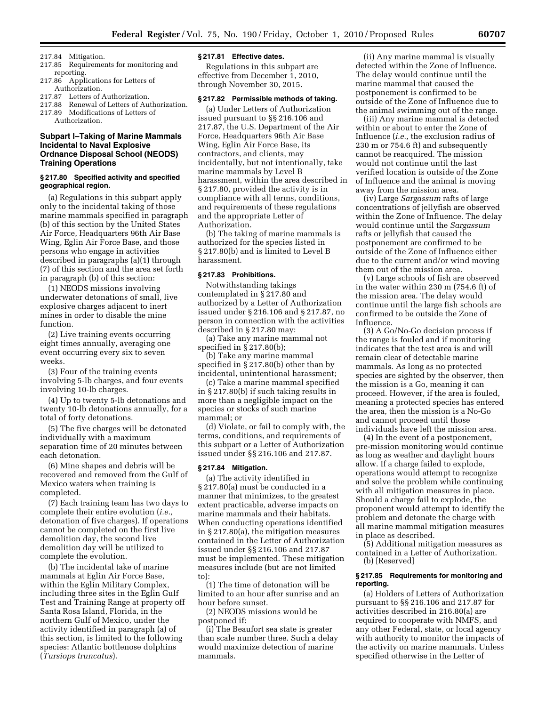- 217.84 Mitigation.
- 217.85 Requirements for monitoring and reporting.
- 217.86 Applications for Letters of Authorization.
- 217.87 Letters of Authorization.
- 217.88 Renewal of Letters of Authorization.
- 217.89 Modifications of Letters of
- Authorization.

## **Subpart I–Taking of Marine Mammals Incidental to Naval Explosive Ordnance Disposal School (NEODS) Training Operations**

#### **§ 217.80 Specified activity and specified geographical region.**

(a) Regulations in this subpart apply only to the incidental taking of those marine mammals specified in paragraph (b) of this section by the United States Air Force, Headquarters 96th Air Base Wing, Eglin Air Force Base, and those persons who engage in activities described in paragraphs (a)(1) through (7) of this section and the area set forth in paragraph (b) of this section:

(1) NEODS missions involving underwater detonations of small, live explosive charges adjacent to inert mines in order to disable the mine function.

(2) Live training events occurring eight times annually, averaging one event occurring every six to seven weeks.

(3) Four of the training events involving 5-lb charges, and four events involving 10-lb charges.

(4) Up to twenty 5-lb detonations and twenty 10-lb detonations annually, for a total of forty detonations.

(5) The five charges will be detonated individually with a maximum separation time of 20 minutes between each detonation.

(6) Mine shapes and debris will be recovered and removed from the Gulf of Mexico waters when training is completed.

(7) Each training team has two days to complete their entire evolution (*i.e.,*  detonation of five charges). If operations cannot be completed on the first live demolition day, the second live demolition day will be utilized to complete the evolution.

(b) The incidental take of marine mammals at Eglin Air Force Base, within the Eglin Military Complex, including three sites in the Eglin Gulf Test and Training Range at property off Santa Rosa Island, Florida, in the northern Gulf of Mexico, under the activity identified in paragraph (a) of this section, is limited to the following species: Atlantic bottlenose dolphins (*Tursiops truncatus*).

### **§ 217.81 Effective dates.**

Regulations in this subpart are effective from December 1, 2010, through November 30, 2015.

## **§ 217.82 Permissible methods of taking.**

(a) Under Letters of Authorization issued pursuant to §§ 216.106 and 217.87, the U.S. Department of the Air Force, Headquarters 96th Air Base Wing, Eglin Air Force Base, its contractors, and clients, may incidentally, but not intentionally, take marine mammals by Level B harassment, within the area described in § 217.80, provided the activity is in compliance with all terms, conditions, and requirements of these regulations and the appropriate Letter of Authorization.

(b) The taking of marine mammals is authorized for the species listed in § 217.80(b) and is limited to Level B harassment.

### **§ 217.83 Prohibitions.**

Notwithstanding takings contemplated in § 217.80 and authorized by a Letter of Authorization issued under § 216.106 and § 217.87, no person in connection with the activities described in § 217.80 may:

(a) Take any marine mammal not specified in § 217.80(b);

(b) Take any marine mammal specified in § 217.80(b) other than by incidental, unintentional harassment;

(c) Take a marine mammal specified in § 217.80(b) if such taking results in more than a negligible impact on the species or stocks of such marine mammal; or

(d) Violate, or fail to comply with, the terms, conditions, and requirements of this subpart or a Letter of Authorization issued under §§ 216.106 and 217.87.

## **§ 217.84 Mitigation.**

(a) The activity identified in § 217.80(a) must be conducted in a manner that minimizes, to the greatest extent practicable, adverse impacts on marine mammals and their habitats. When conducting operations identified in § 217.80(a), the mitigation measures contained in the Letter of Authorization issued under §§ 216.106 and 217.87 must be implemented. These mitigation measures include (but are not limited to):

(1) The time of detonation will be limited to an hour after sunrise and an hour before sunset.

(2) NEODS missions would be postponed if:

(i) The Beaufort sea state is greater than scale number three. Such a delay would maximize detection of marine mammals.

(ii) Any marine mammal is visually detected within the Zone of Influence. The delay would continue until the marine mammal that caused the postponement is confirmed to be outside of the Zone of Influence due to the animal swimming out of the range.

(iii) Any marine mammal is detected within or about to enter the Zone of Influence (*i.e.,* the exclusion radius of 230 m or 754.6 ft) and subsequently cannot be reacquired. The mission would not continue until the last verified location is outside of the Zone of Influence and the animal is moving away from the mission area.

(iv) Large *Sargassum* rafts of large concentrations of jellyfish are observed within the Zone of Influence. The delay would continue until the *Sargassum*  rafts or jellyfish that caused the postponement are confirmed to be outside of the Zone of Influence either due to the current and/or wind moving them out of the mission area.

(v) Large schools of fish are observed in the water within 230 m (754.6 ft) of the mission area. The delay would continue until the large fish schools are confirmed to be outside the Zone of Influence.

(3) A Go/No-Go decision process if the range is fouled and if monitoring indicates that the test area is and will remain clear of detectable marine mammals. As long as no protected species are sighted by the observer, then the mission is a Go, meaning it can proceed. However, if the area is fouled, meaning a protected species has entered the area, then the mission is a No-Go and cannot proceed until those individuals have left the mission area.

(4) In the event of a postponement, pre-mission monitoring would continue as long as weather and daylight hours allow. If a charge failed to explode, operations would attempt to recognize and solve the problem while continuing with all mitigation measures in place. Should a charge fail to explode, the proponent would attempt to identify the problem and detonate the charge with all marine mammal mitigation measures in place as described.

(5) Additional mitigation measures as contained in a Letter of Authorization. (b) [Reserved]

#### **§ 217.85 Requirements for monitoring and reporting.**

(a) Holders of Letters of Authorization pursuant to §§ 216.106 and 217.87 for activities described in 216.80(a) are required to cooperate with NMFS, and any other Federal, state, or local agency with authority to monitor the impacts of the activity on marine mammals. Unless specified otherwise in the Letter of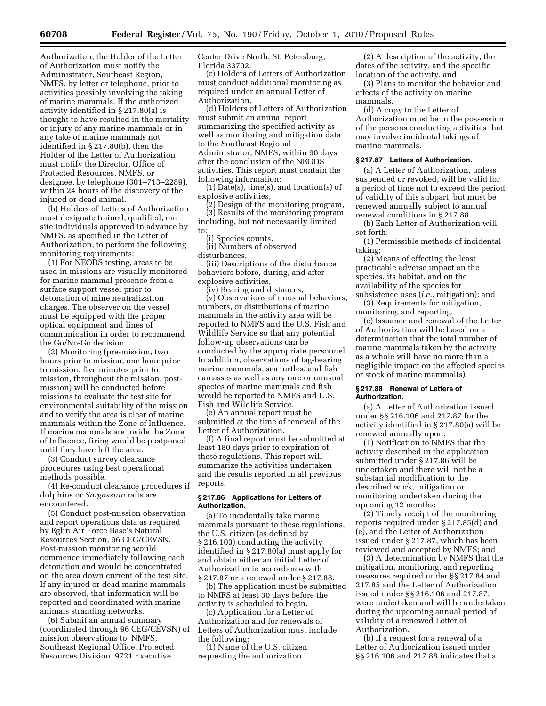Authorization, the Holder of the Letter of Authorization must notify the Administrator, Southeast Region, NMFS, by letter or telephone, prior to activities possibly involving the taking of marine mammals. If the authorized activity identified in § 217.80(a) is thought to have resulted in the mortality or injury of any marine mammals or in any take of marine mammals not identified in § 217.80(b), then the Holder of the Letter of Authorization must notify the Director, Office of Protected Resources, NMFS, or designee, by telephone (301–713–2289), within 24 hours of the discovery of the injured or dead animal.

(b) Holders of Letters of Authorization must designate trained, qualified, onsite individuals approved in advance by NMFS, as specified in the Letter of Authorization, to perform the following monitoring requirements:

(1) For NEODS testing, areas to be used in missions are visually monitored for marine mammal presence from a surface support vessel prior to detonation of mine neutralization charges. The observer on the vessel must be equipped with the proper optical equipment and lines of communication in order to recommend the Go/No-Go decision.

(2) Monitoring (pre-mission, two hours prior to mission, one hour prior to mission, five minutes prior to mission, throughout the mission, postmission) will be conducted before missions to evaluate the test site for environmental suitability of the mission and to verify the area is clear of marine mammals within the Zone of Influence. If marine mammals are inside the Zone of Influence, firing would be postponed until they have left the area.

(3) Conduct survey clearance procedures using best operational methods possible.

(4) Re-conduct clearance procedures if dolphins or *Sargassum* rafts are encountered.

(5) Conduct post-mission observation and report operations data as required by Eglin Air Force Base's Natural Resources Section, 96 CEG/CEVSN. Post-mission monitoring would commence immediately following each detonation and would be concentrated on the area down current of the test site. If any injured or dead marine mammals are observed, that information will be reported and coordinated with marine animals stranding networks.

(6) Submit an annual summary (coordinated through 96 CEG/CEVSN) of mission observations to: NMFS, Southeast Regional Office, Protected Resources Division, 9721 Executive

Center Drive North, St. Petersburg, Florida 33702.

(c) Holders of Letters of Authorization must conduct additional monitoring as required under an annual Letter of Authorization.

(d) Holders of Letters of Authorization must submit an annual report summarizing the specified activity as well as monitoring and mitigation data to the Southeast Regional Administrator, NMFS, within 90 days after the conclusion of the NEODS activities. This report must contain the following information:

(1) Date(s), time(s), and location(s) of explosive activities,

(2) Design of the monitoring program, (3) Results of the monitoring program including, but not necessarily limited to:

(i) Species counts,

(ii) Numbers of observed disturbances,

(iii) Descriptions of the disturbance behaviors before, during, and after explosive activities,

(iv) Bearing and distances,

(v) Observations of unusual behaviors, numbers, or distributions of marine mammals in the activity area will be reported to NMFS and the U.S. Fish and Wildlife Service so that any potential follow-up observations can be conducted by the appropriate personnel. In addition, observations of tag-bearing marine mammals, sea turtles, and fish carcasses as well as any rare or unusual species of marine mammals and fish would be reported to NMFS and U.S. Fish and Wildlife Service.

(e) An annual report must be submitted at the time of renewal of the Letter of Authorization.

(f) A final report must be submitted at least 180 days prior to expiration of these regulations. This report will summarize the activities undertaken and the results reported in all previous reports.

### **§ 217.86 Applications for Letters of Authorization.**

(a) To incidentally take marine mammals pursuant to these regulations, the U.S. citizen (as defined by § 216.103) conducting the activity identified in § 217.80(a) must apply for and obtain either an initial Letter of Authorization in accordance with § 217.87 or a renewal under § 217.88.

(b) The application must be submitted to NMFS at least 30 days before the activity is scheduled to begin.

(c) Application for a Letter of Authorization and for renewals of Letters of Authorization must include the following:

(1) Name of the U.S. citizen requesting the authorization.

(2) A description of the activity, the dates of the activity, and the specific location of the activity, and

(3) Plans to monitor the behavior and effects of the activity on marine mammals.

(d) A copy to the Letter of Authorization must be in the possession of the persons conducting activities that may involve incidental takings of marine mammals.

#### **§ 217.87 Letters of Authorization.**

(a) A Letter of Authorization, unless suspended or revoked, will be valid for a period of time not to exceed the period of validity of this subpart, but must be renewed annually subject to annual renewal conditions in § 217.88.

(b) Each Letter of Authorization will set forth:

(1) Permissible methods of incidental taking;

(2) Means of effecting the least practicable adverse impact on the species, its habitat, and on the availability of the species for subsistence uses (*i.e.,* mitigation); and

(3) Requirements for mitigation, monitoring, and reporting.

(c) Issuance and renewal of the Letter of Authorization will be based on a determination that the total number of marine mammals taken by the activity as a whole will have no more than a negligible impact on the affected species or stock of marine mammal(s).

### **§ 217.88 Renewal of Letters of Authorization.**

(a) A Letter of Authorization issued under §§ 216.106 and 217.87 for the activity identified in § 217.80(a) will be renewed annually upon:

(1) Notification to NMFS that the activity described in the application submitted under § 217.86 will be undertaken and there will not be a substantial modification to the described work, mitigation or monitoring undertaken during the upcoming 12 months;

(2) Timely receipt of the monitoring reports required under § 217.85(d) and (e), and the Letter of Authorization issued under § 217.87, which has been reviewed and accepted by NMFS; and

(3) A determination by NMFS that the mitigation, monitoring, and reporting measures required under §§ 217.84 and 217.85 and the Letter of Authorization issued under §§ 216.106 and 217.87, were undertaken and will be undertaken during the upcoming annual period of validity of a renewed Letter of Authorization.

(b) If a request for a renewal of a Letter of Authorization issued under §§ 216.106 and 217.88 indicates that a